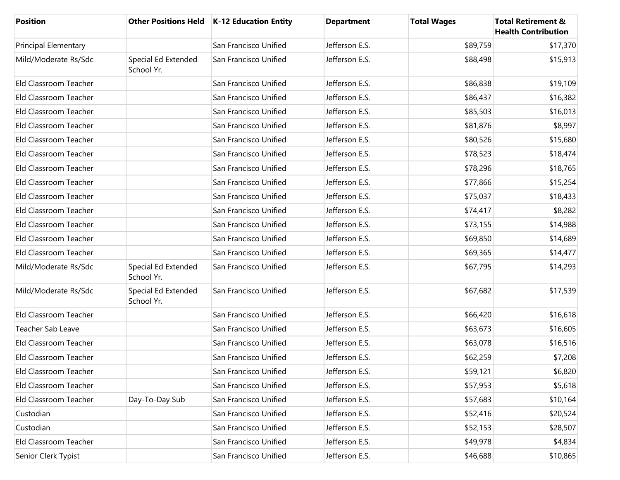| <b>Position</b>             |                                   | Other Positions Held   K-12 Education Entity | <b>Department</b> | <b>Total Wages</b> | <b>Total Retirement &amp;</b><br><b>Health Contribution</b> |
|-----------------------------|-----------------------------------|----------------------------------------------|-------------------|--------------------|-------------------------------------------------------------|
| <b>Principal Elementary</b> |                                   | San Francisco Unified                        | Jefferson E.S.    | \$89,759           | \$17,370                                                    |
| Mild/Moderate Rs/Sdc        | Special Ed Extended<br>School Yr. | San Francisco Unified                        | Jefferson E.S.    | \$88,498           | \$15,913                                                    |
| Eld Classroom Teacher       |                                   | San Francisco Unified                        | Jefferson E.S.    | \$86,838           | \$19,109                                                    |
| Eld Classroom Teacher       |                                   | San Francisco Unified                        | Jefferson E.S.    | \$86,437           | \$16,382                                                    |
| Eld Classroom Teacher       |                                   | San Francisco Unified                        | Jefferson E.S.    | \$85,503           | \$16,013                                                    |
| Eld Classroom Teacher       |                                   | San Francisco Unified                        | Jefferson E.S.    | \$81,876           | \$8,997                                                     |
| Eld Classroom Teacher       |                                   | San Francisco Unified                        | Jefferson E.S.    | \$80,526           | \$15,680                                                    |
| Eld Classroom Teacher       |                                   | San Francisco Unified                        | Jefferson E.S.    | \$78,523           | \$18,474                                                    |
| Eld Classroom Teacher       |                                   | San Francisco Unified                        | Jefferson E.S.    | \$78,296           | \$18,765                                                    |
| Eld Classroom Teacher       |                                   | San Francisco Unified                        | Jefferson E.S.    | \$77,866           | \$15,254                                                    |
| Eld Classroom Teacher       |                                   | San Francisco Unified                        | Jefferson E.S.    | \$75,037           | \$18,433                                                    |
| Eld Classroom Teacher       |                                   | San Francisco Unified                        | Jefferson E.S.    | \$74,417           | \$8,282                                                     |
| Eld Classroom Teacher       |                                   | San Francisco Unified                        | Jefferson E.S.    | \$73,155           | \$14,988                                                    |
| Eld Classroom Teacher       |                                   | San Francisco Unified                        | Jefferson E.S.    | \$69,850           | \$14,689                                                    |
| Eld Classroom Teacher       |                                   | San Francisco Unified                        | Jefferson E.S.    | \$69,365           | \$14,477                                                    |
| Mild/Moderate Rs/Sdc        | Special Ed Extended<br>School Yr. | San Francisco Unified                        | Jefferson E.S.    | \$67,795           | \$14,293                                                    |
| Mild/Moderate Rs/Sdc        | Special Ed Extended<br>School Yr. | San Francisco Unified                        | Jefferson E.S.    | \$67,682           | \$17,539                                                    |
| Eld Classroom Teacher       |                                   | San Francisco Unified                        | Jefferson E.S.    | \$66,420           | \$16,618                                                    |
| <b>Teacher Sab Leave</b>    |                                   | San Francisco Unified                        | Jefferson E.S.    | \$63,673           | \$16,605                                                    |
| Eld Classroom Teacher       |                                   | San Francisco Unified                        | Jefferson E.S.    | \$63,078           | \$16,516                                                    |
| Eld Classroom Teacher       |                                   | San Francisco Unified                        | Jefferson E.S.    | \$62,259           | \$7,208                                                     |
| Eld Classroom Teacher       |                                   | San Francisco Unified                        | Jefferson E.S.    | \$59,121           | \$6,820                                                     |
| Eld Classroom Teacher       |                                   | San Francisco Unified                        | Jefferson E.S.    | \$57,953           | \$5,618                                                     |
| Eld Classroom Teacher       | Day-To-Day Sub                    | San Francisco Unified                        | Jefferson E.S.    | \$57,683           | \$10,164                                                    |
| Custodian                   |                                   | San Francisco Unified                        | Jefferson E.S.    | \$52,416           | \$20,524                                                    |
| Custodian                   |                                   | San Francisco Unified                        | Jefferson E.S.    | \$52,153           | \$28,507                                                    |
| Eld Classroom Teacher       |                                   | San Francisco Unified                        | Jefferson E.S.    | \$49,978           | \$4,834                                                     |
| Senior Clerk Typist         |                                   | San Francisco Unified                        | Jefferson E.S.    | \$46,688           | \$10,865                                                    |